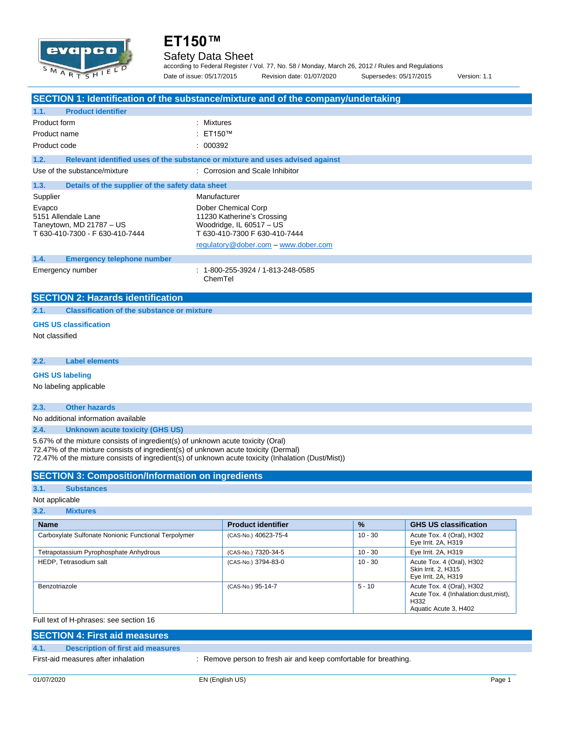

### Safety Data Sheet

according to Federal Register / Vol. 77, No. 58 / Monday, March 26, 2012 / Rules and Regulations Date of issue: 05/17/2015 Revision date: 01/07/2020 Supersedes: 05/17/2015 Version: 1.1

**SECTION 1: Identification of the substance/mixture and of the company/undertaking 1.1. Product identifier** Product form : Nixtures Product name : ET150™ Product code : 000392 **1.2. Relevant identified uses of the substance or mixture and uses advised against** Use of the substance/mixture : Corrosion and Scale Inhibitor **1.3. Details of the supplier of the safety data sheet** Supplier Manufacturer Evapco **Dober Chemical Corp** 5151 Allendale Lane 11230 Katherine's Crossing<br>Taneytown, MD 21787 - US 11230 Woodridge, IL 60517 - US Taneytown, MD 21787 – US<br>
T 630-410-7300 - F 630-410-7444<br>
T 630-410-7300 F 630-410-7444<br>
T 630-410-7300 F 630-410-7444 T 630-410-7300 - F 630-410-7444 [regulatory@dober.com](mailto:regulatory@dober.com) – [www.dober.com](http://www.dober.com/) **1.4. Emergency telephone number** Emergency number : 1-800-255-3924 / 1-813-248-0585 ChemTel **SECTION 2: Hazards identification**

**2.1. Classification of the substance or mixture**

#### **GHS US classification**

Not classified

**2.2. Label elements**

### **GHS US labeling**

No labeling applicable

#### **2.3. Other hazards**

No additional information available

**2.4. Unknown acute toxicity (GHS US)**

5.67% of the mixture consists of ingredient(s) of unknown acute toxicity (Oral) 72.47% of the mixture consists of ingredient(s) of unknown acute toxicity (Dermal) 72.47% of the mixture consists of ingredient(s) of unknown acute toxicity (Inhalation (Dust/Mist))

### **SECTION 3: Composition/Information on ingredients**

### **3.1. Substances**

Not applicable

#### **3.2. Mixtures Name Product identifier % GHS US classification** Carboxylate Sulfonate Nonionic Functional Terpolymer (CAS-No.) 40623-75-4 10 - 30 Acute Tox. 4 (Oral), H302 Eye Irrit. 2A, H319 Tetrapotassium Pyrophosphate Anhydrous (CAS-No.) 7320-34-5 10 - 30 Eye Irrit. 2A, H319 HEDP, Tetrasodium salt **1986** CAS-No.) 3794-83-0 10 - 30 Acute Tox. 4 (Oral), H302 Skin Irrit. 2, H315 Eye Irrit. 2A, H319 Benzotriazole **Example 2018** - CAS-No. 95-14-7 5 - 10 Acute Tox. 4 (Oral), H302 Acute Tox. 4 (Inhalation:dust,mist), H332 Aquatic Acute 3, H402

Full text of H-phrases: see section 16

| <b>SECTION 4: First aid measures</b> |                                     |                                                                |  |
|--------------------------------------|-------------------------------------|----------------------------------------------------------------|--|
| 4.1.                                 | Description of first aid measures   |                                                                |  |
|                                      | First-aid measures after inhalation | Remove person to fresh air and keep comfortable for breathing. |  |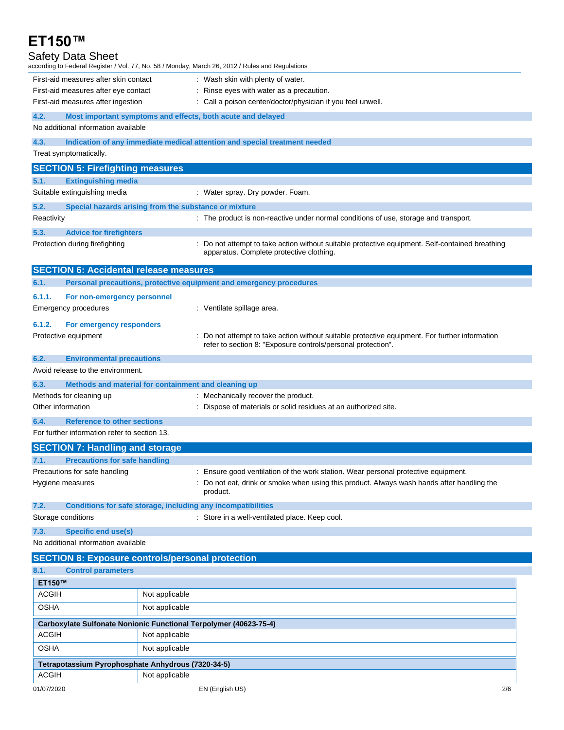| ET150™                                             |                                                                                                                                             |     |
|----------------------------------------------------|---------------------------------------------------------------------------------------------------------------------------------------------|-----|
| <b>Safety Data Sheet</b>                           |                                                                                                                                             |     |
| First-aid measures after skin contact              | according to Federal Register / Vol. 77, No. 58 / Monday, March 26, 2012 / Rules and Regulations<br>: Wash skin with plenty of water.       |     |
| First-aid measures after eye contact               | : Rinse eyes with water as a precaution.                                                                                                    |     |
| First-aid measures after ingestion                 | : Call a poison center/doctor/physician if you feel unwell.                                                                                 |     |
| 4.2.                                               | Most important symptoms and effects, both acute and delayed                                                                                 |     |
| No additional information available                |                                                                                                                                             |     |
| 4.3.                                               | Indication of any immediate medical attention and special treatment needed                                                                  |     |
| Treat symptomatically.                             |                                                                                                                                             |     |
| <b>SECTION 5: Firefighting measures</b>            |                                                                                                                                             |     |
| 5.1.<br><b>Extinguishing media</b>                 |                                                                                                                                             |     |
| Suitable extinguishing media                       | : Water spray. Dry powder. Foam.                                                                                                            |     |
| 5.2.                                               | Special hazards arising from the substance or mixture                                                                                       |     |
| Reactivity                                         | : The product is non-reactive under normal conditions of use, storage and transport.                                                        |     |
| 5.3.<br><b>Advice for firefighters</b>             |                                                                                                                                             |     |
| Protection during firefighting                     | : Do not attempt to take action without suitable protective equipment. Self-contained breathing<br>apparatus. Complete protective clothing. |     |
| <b>SECTION 6: Accidental release measures</b>      |                                                                                                                                             |     |
| 6.1.                                               | Personal precautions, protective equipment and emergency procedures                                                                         |     |
| 6.1.1.<br>For non-emergency personnel              |                                                                                                                                             |     |
| Emergency procedures                               | : Ventilate spillage area.                                                                                                                  |     |
| 6.1.2.<br>For emergency responders                 |                                                                                                                                             |     |
| Protective equipment                               | : Do not attempt to take action without suitable protective equipment. For further information                                              |     |
|                                                    | refer to section 8: "Exposure controls/personal protection".                                                                                |     |
| 6.2.<br><b>Environmental precautions</b>           |                                                                                                                                             |     |
| Avoid release to the environment.                  |                                                                                                                                             |     |
| 6.3.                                               | Methods and material for containment and cleaning up                                                                                        |     |
| Methods for cleaning up                            | : Mechanically recover the product.                                                                                                         |     |
| Other information                                  | : Dispose of materials or solid residues at an authorized site.                                                                             |     |
| 6.4.<br><b>Reference to other sections</b>         |                                                                                                                                             |     |
| For further information refer to section 13.       |                                                                                                                                             |     |
| <b>SECTION 7: Handling and storage</b>             |                                                                                                                                             |     |
| <b>Precautions for safe handling</b><br>7.1.       |                                                                                                                                             |     |
| Precautions for safe handling                      | : Ensure good ventilation of the work station. Wear personal protective equipment.                                                          |     |
| Hygiene measures                                   | : Do not eat, drink or smoke when using this product. Always wash hands after handling the<br>product.                                      |     |
| 7.2.                                               | Conditions for safe storage, including any incompatibilities                                                                                |     |
| Storage conditions                                 | : Store in a well-ventilated place. Keep cool.                                                                                              |     |
| 7.3.<br><b>Specific end use(s)</b>                 |                                                                                                                                             |     |
| No additional information available                |                                                                                                                                             |     |
|                                                    | <b>SECTION 8: Exposure controls/personal protection</b>                                                                                     |     |
| 8.1.<br><b>Control parameters</b>                  |                                                                                                                                             |     |
| ET150™                                             |                                                                                                                                             |     |
| <b>ACGIH</b>                                       | Not applicable                                                                                                                              |     |
| OSHA                                               | Not applicable                                                                                                                              |     |
|                                                    |                                                                                                                                             |     |
| <b>ACGIH</b>                                       | Carboxylate Sulfonate Nonionic Functional Terpolymer (40623-75-4)<br>Not applicable                                                         |     |
| <b>OSHA</b>                                        | Not applicable                                                                                                                              |     |
|                                                    |                                                                                                                                             |     |
| Tetrapotassium Pyrophosphate Anhydrous (7320-34-5) |                                                                                                                                             |     |
| <b>ACGIH</b>                                       | Not applicable                                                                                                                              |     |
| 01/07/2020                                         | EN (English US)                                                                                                                             | 2/6 |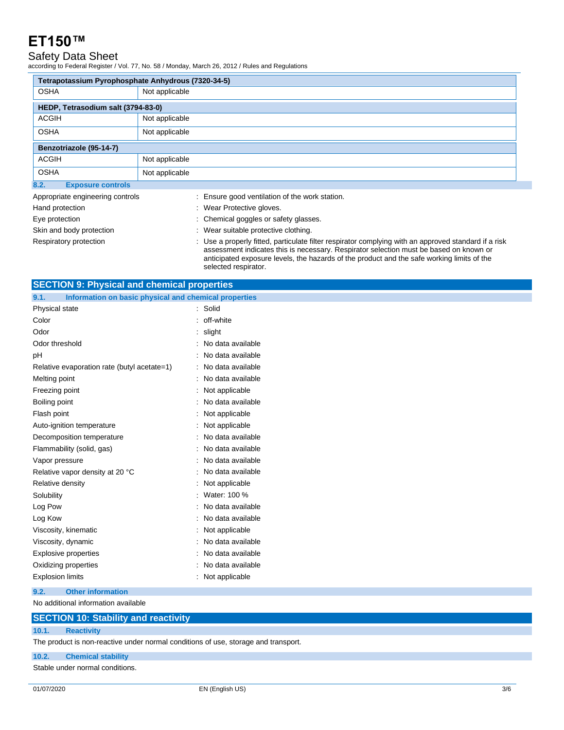## Safety Data Sheet

according to Federal Register / Vol. 77, No. 58 / Monday, March 26, 2012 / Rules and Regulations

| Tetrapotassium Pyrophosphate Anhydrous (7320-34-5) |                                                                                                                                                                                                                                                                                              |  |  |  |
|----------------------------------------------------|----------------------------------------------------------------------------------------------------------------------------------------------------------------------------------------------------------------------------------------------------------------------------------------------|--|--|--|
| <b>OSHA</b>                                        | Not applicable                                                                                                                                                                                                                                                                               |  |  |  |
| HEDP, Tetrasodium salt (3794-83-0)                 |                                                                                                                                                                                                                                                                                              |  |  |  |
| <b>ACGIH</b>                                       | Not applicable                                                                                                                                                                                                                                                                               |  |  |  |
| <b>OSHA</b>                                        | Not applicable                                                                                                                                                                                                                                                                               |  |  |  |
| Benzotriazole (95-14-7)                            |                                                                                                                                                                                                                                                                                              |  |  |  |
| <b>ACGIH</b>                                       | Not applicable                                                                                                                                                                                                                                                                               |  |  |  |
| <b>OSHA</b>                                        | Not applicable                                                                                                                                                                                                                                                                               |  |  |  |
| 8.2.<br><b>Exposure controls</b>                   |                                                                                                                                                                                                                                                                                              |  |  |  |
| Appropriate engineering controls                   | : Ensure good ventilation of the work station.                                                                                                                                                                                                                                               |  |  |  |
| Hand protection                                    | : Wear Protective gloves.                                                                                                                                                                                                                                                                    |  |  |  |
| Eye protection                                     | : Chemical goggles or safety glasses.                                                                                                                                                                                                                                                        |  |  |  |
| Skin and body protection                           | : Wear suitable protective clothing.                                                                                                                                                                                                                                                         |  |  |  |
| Respiratory protection                             | : Use a properly fitted, particulate filter respirator complying with an approved standard if a risk<br>assessment indicates this is necessary. Respirator selection must be based on known or<br>anticipated exposure levels, the hazards of the product and the safe working limits of the |  |  |  |

selected respirator.

| <b>SECTION 9: Physical and chemical properties</b>            |                     |  |
|---------------------------------------------------------------|---------------------|--|
| Information on basic physical and chemical properties<br>9.1. |                     |  |
| Physical state                                                | : Solid             |  |
| Color                                                         | : off-white         |  |
| Odor                                                          | slight              |  |
| Odor threshold                                                | : No data available |  |
| рH                                                            | : No data available |  |
| Relative evaporation rate (butyl acetate=1)                   | : No data available |  |
| Melting point                                                 | : No data available |  |
| Freezing point                                                | : Not applicable    |  |
| Boiling point                                                 | No data available   |  |
| Flash point                                                   | : Not applicable    |  |
| Auto-ignition temperature                                     | Not applicable      |  |
| Decomposition temperature                                     | No data available   |  |
| Flammability (solid, gas)                                     | No data available   |  |
| Vapor pressure                                                | : No data available |  |
| Relative vapor density at 20 °C                               | : No data available |  |
| Relative density                                              | Not applicable      |  |
| Solubility                                                    | Water: 100 %        |  |
| Log Pow                                                       | No data available   |  |
| Log Kow                                                       | No data available   |  |
| Viscosity, kinematic                                          | Not applicable      |  |
| Viscosity, dynamic                                            | No data available   |  |
| <b>Explosive properties</b>                                   | No data available   |  |
| Oxidizing properties                                          | : No data available |  |
| <b>Explosion limits</b>                                       | Not applicable      |  |
| 9.2.<br><b>Other information</b>                              |                     |  |

No additional information available

|  |  | <b>SECTION 10: Stability and reactivity</b> |  |
|--|--|---------------------------------------------|--|
|--|--|---------------------------------------------|--|

#### **10.1. Reactivity**

The product is non-reactive under normal conditions of use, storage and transport.

#### **10.2. Chemical stability**

Stable under normal conditions.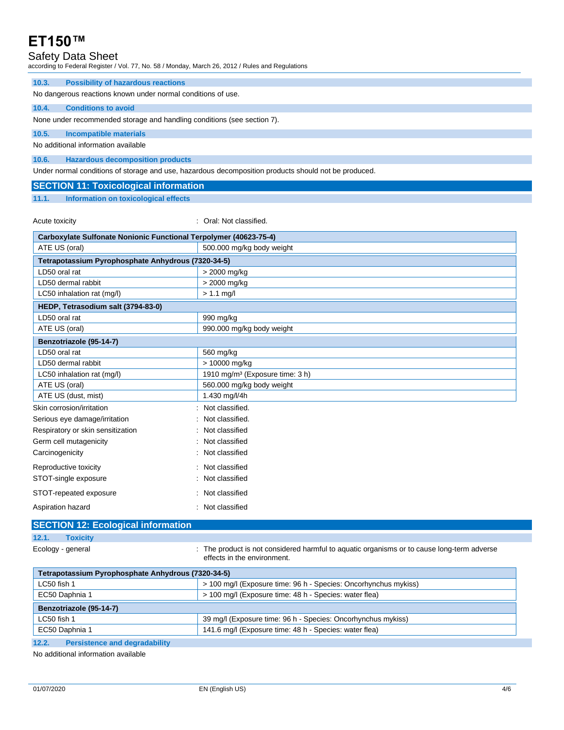### Safety Data Sheet

according to Federal Register / Vol. 77, No. 58 / Monday, March 26, 2012 / Rules and Regulations

| 10.3.                                                                   | <b>Possibility of hazardous reactions</b> |  |  |
|-------------------------------------------------------------------------|-------------------------------------------|--|--|
| No dangerous reactions known under normal conditions of use.            |                                           |  |  |
| 10.4.                                                                   | <b>Conditions to avoid</b>                |  |  |
| None under recommended storage and handling conditions (see section 7). |                                           |  |  |
| 10.5.                                                                   | Incompatible materials                    |  |  |
| No additional information available                                     |                                           |  |  |
|                                                                         |                                           |  |  |

Under normal conditions of storage and use, hazardous decomposition products should not be produced.

| <b>SECTION 11: Toxicological information</b> |
|----------------------------------------------|
|----------------------------------------------|

**11.1. Information on toxicological effects**

Acute toxicity **in the case of the Case of Case of the Case of Case of Case of the Case of Case of Case of Case of Case of Case of Case of Case of Case of Case of Case of Case of Case of Case of Case of Case of Case of Cas** 

| Carboxylate Sulfonate Nonionic Functional Terpolymer (40623-75-4) |                                             |  |
|-------------------------------------------------------------------|---------------------------------------------|--|
| ATE US (oral)                                                     | 500.000 mg/kg body weight                   |  |
| Tetrapotassium Pyrophosphate Anhydrous (7320-34-5)                |                                             |  |
| LD50 oral rat                                                     | > 2000 mg/kg                                |  |
| LD50 dermal rabbit                                                | > 2000 mg/kg                                |  |
| LC50 inhalation rat (mg/l)                                        | $> 1.1$ mg/l                                |  |
| HEDP, Tetrasodium salt (3794-83-0)                                |                                             |  |
| LD50 oral rat                                                     | 990 mg/kg                                   |  |
| ATE US (oral)                                                     | 990.000 mg/kg body weight                   |  |
| Benzotriazole (95-14-7)                                           |                                             |  |
| LD50 oral rat                                                     | 560 mg/kg                                   |  |
| LD50 dermal rabbit                                                | > 10000 mg/kg                               |  |
| LC50 inhalation rat (mg/l)                                        | 1910 mg/m <sup>3</sup> (Exposure time: 3 h) |  |
| ATE US (oral)                                                     | 560.000 mg/kg body weight                   |  |
| ATE US (dust, mist)                                               | 1.430 mg/l/4h                               |  |
| Skin corrosion/irritation                                         | Not classified.                             |  |
| Serious eye damage/irritation                                     | Not classified.                             |  |
| Respiratory or skin sensitization                                 | Not classified                              |  |
| Germ cell mutagenicity                                            | Not classified                              |  |
| Carcinogenicity                                                   | Not classified                              |  |
| Reproductive toxicity                                             | Not classified                              |  |
| STOT-single exposure                                              | Not classified                              |  |
| STOT-repeated exposure                                            | Not classified                              |  |
| Aspiration hazard                                                 | Not classified                              |  |

### **SECTION 12: Ecological information**

### **12.1. Toxicity**

Ecology - general **interproduct is not considered harmful to aquatic organisms or to cause long-term adverse** effects in the environment.

| Tetrapotassium Pyrophosphate Anhydrous (7320-34-5)                          |                                                                 |  |
|-----------------------------------------------------------------------------|-----------------------------------------------------------------|--|
| LC50 fish 1                                                                 | > 100 mg/l (Exposure time: 96 h - Species: Oncorhynchus mykiss) |  |
| EC50 Daphnia 1                                                              | > 100 mg/l (Exposure time: 48 h - Species: water flea)          |  |
| Benzotriazole (95-14-7)                                                     |                                                                 |  |
| 39 mg/l (Exposure time: 96 h - Species: Oncorhynchus mykiss)<br>LC50 fish 1 |                                                                 |  |
| EC50 Daphnia 1                                                              | 141.6 mg/l (Exposure time: 48 h - Species: water flea)          |  |
| $\overline{A}$<br>Development and decuedability                             |                                                                 |  |

**12.2. Persistence and degradability**

No additional information available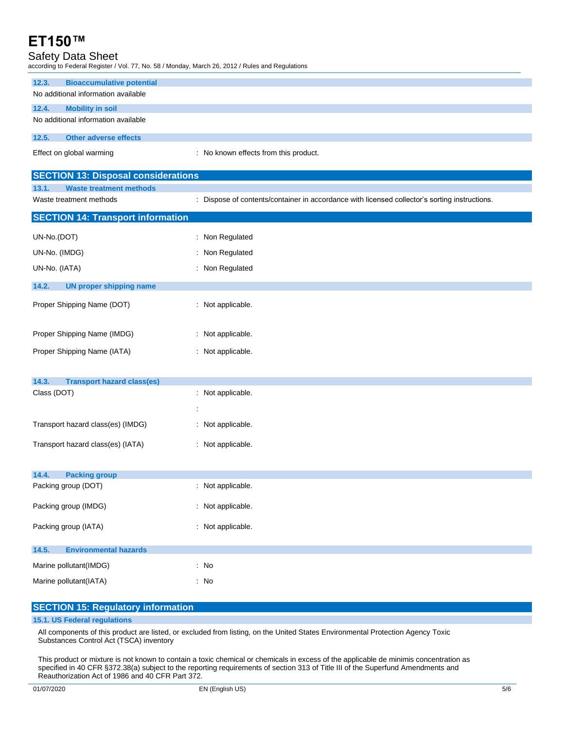## Safety Data Sheet

according to Federal Register / Vol. 77, No. 58 / Monday, March 26, 2012 / Rules and Regulations

UN-No. (IATA) **in the case of the COVID-No.** (IATA)

Proper Shipping Name (DOT) : Not applicable.

Proper Shipping Name (IMDG) : Not applicable. Proper Shipping Name (IATA) : Not applicable.

Class (DOT) : Not applicable.

Transport hazard class(es) (IMDG) : Not applicable.

Transport hazard class(es) (IATA) : Not applicable.

Packing group (DOT) : Not applicable.

Packing group (IMDG) : Not applicable.

Packing group (IATA) **in the case of the CATA** in Not applicable.

Marine pollutant(IMDG) **:** No Marine pollutant(IATA) : No

**SECTION 15: Regulatory information**

:

**14.2. UN proper shipping name**

**14.3. Transport hazard class(es)**

**14.4. Packing group**

**14.5. Environmental hazards**

**15.1. US Federal regulations**

| <b>Bioaccumulative potential</b><br>12.3.  |                                                                                               |  |
|--------------------------------------------|-----------------------------------------------------------------------------------------------|--|
| No additional information available        |                                                                                               |  |
| <b>Mobility in soil</b><br>12.4.           |                                                                                               |  |
| No additional information available        |                                                                                               |  |
| <b>Other adverse effects</b><br>12.5.      |                                                                                               |  |
| Effect on global warming                   | : No known effects from this product.                                                         |  |
| <b>SECTION 13: Disposal considerations</b> |                                                                                               |  |
|                                            |                                                                                               |  |
| <b>Waste treatment methods</b><br>13.1.    |                                                                                               |  |
| Waste treatment methods                    | : Dispose of contents/container in accordance with licensed collector's sorting instructions. |  |
| <b>SECTION 14: Transport information</b>   |                                                                                               |  |
| UN-No.(DOT)                                | : Non Regulated                                                                               |  |

| All components of this product are listed, or excluded from listing, on the United States Environmental Protection Agency Toxic |  |
|---------------------------------------------------------------------------------------------------------------------------------|--|
| Substances Control Act (TSCA) inventory                                                                                         |  |

This product or mixture is not known to contain a toxic chemical or chemicals in excess of the applicable de minimis concentration as specified in 40 CFR §372.38(a) subject to the reporting requirements of section 313 of Title III of the Superfund Amendments and Reauthorization Act of 1986 and 40 CFR Part 372.